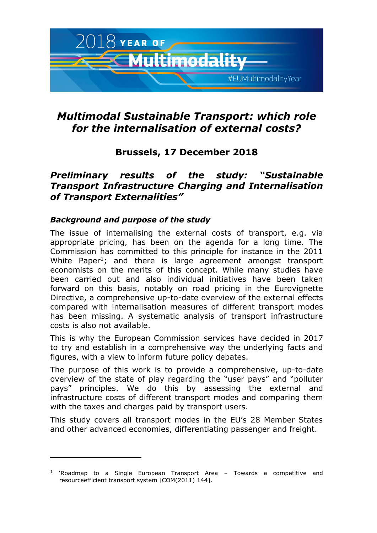

# *Multimodal Sustainable Transport: which role for the internalisation of external costs?*

## **Brussels, 17 December 2018**

## *Preliminary results of the study: "Sustainable Transport Infrastructure Charging and Internalisation of Transport Externalities"*

### *Background and purpose of the study*

j

The issue of internalising the external costs of transport, e.g. via appropriate pricing, has been on the agenda for a long time. The Commission has committed to this principle for instance in the 2011 White Paper<sup>1</sup>; and there is large agreement amongst transport economists on the merits of this concept. While many studies have been carried out and also individual initiatives have been taken forward on this basis, notably on road pricing in the Eurovignette Directive, a comprehensive up-to-date overview of the external effects compared with internalisation measures of different transport modes has been missing. A systematic analysis of transport infrastructure costs is also not available.

This is why the European Commission services have decided in 2017 to try and establish in a comprehensive way the underlying facts and figures, with a view to inform future policy debates.

The purpose of this work is to provide a comprehensive, up-to-date overview of the state of play regarding the "user pays" and "polluter pays" principles. We do this by assessing the external and infrastructure costs of different transport modes and comparing them with the taxes and charges paid by transport users.

This study covers all transport modes in the EU's 28 Member States and other advanced economies, differentiating passenger and freight.

<sup>&</sup>lt;sup>1</sup> 'Roadmap to a Single European Transport Area - Towards a competitive and resourceefficient transport system [COM(2011) 144].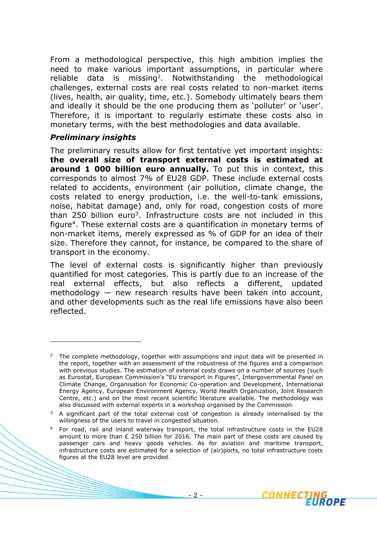From a methodological perspective, this high ambition implies the need to make various important assumptions, in particular where reliable data is missing<sup>2</sup>. Notwithstanding the methodological challenges, external costs are real costs related to non-market items (lives, health, air quality, time, etc.). Somebody ultimately bears them and ideally it should be the one producing them as 'polluter' or 'user'. Therefore, it is important to regularly estimate these costs also in monetary terms, with the best methodologies and data available.

### *Preliminary insights*

 $\overline{a}$ 

The preliminary results allow for first tentative yet important insights: **the overall size of transport external costs is estimated at around 1 000 billion euro annually.** To put this in context, this corresponds to almost 7% of EU28 GDP. These include external costs related to accidents, environment (air pollution, climate change, the costs related to energy production, i.e. the well-to-tank emissions, noise, habitat damage) and, only for road, congestion costs of more than 250 billion euro<sup>3</sup>. Infrastructure costs are not included in this figure<sup>4</sup>. These external costs are a quantification in monetary terms of non-market items, merely expressed as % of GDP for an idea of their size. Therefore they cannot, for instance, be compared to the share of transport in the economy.

The level of external costs is significantly higher than previously quantified for most categories. This is partly due to an increase of the real external effects, but also reflects a different, updated methodology — new research results have been taken into account, and other developments such as the real life emissions have also been reflected.



<sup>&</sup>lt;sup>2</sup> The complete methodology, together with assumptions and input data will be presented in the report, together with an assessment of the robustness of the figures and a comparison with previous studies. The estimation of external costs draws on a number of sources (such as Eurostat, European Commission's "EU transport in Figures", Intergovernmental Panel on Climate Change, Organisation for Economic Co-operation and Development, International Energy Agency, European Environment Agency, World Health Organization, Joint Research Centre, etc.) and on the most recent scientific literature available. The methodology was also discussed with external experts in a workshop organised by the Commission.

 $3$  A significant part of the total external cost of congestion is already internalised by the willingness of the users to travel in congested situation.

<sup>4</sup> For road, rail and inland waterway transport, the total infrastructure costs in the EU28 amount to more than  $\epsilon$  250 billion for 2016. The main part of these costs are caused by passenger cars and heavy goods vehicles. As for aviation and maritime transport, infrastructure costs are estimated for a selection of (air)ports, no total infrastructure costs figures at the EU28 level are provided.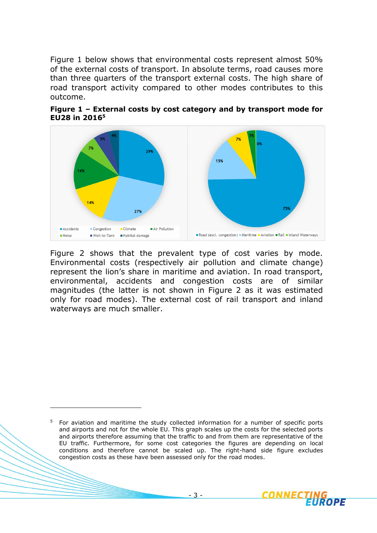Figure 1 below shows that environmental costs represent almost 50% of the external costs of transport. In absolute terms, road causes more than three quarters of the transport external costs. The high share of road transport activity compared to other modes contributes to this outcome.





Figure 2 shows that the prevalent type of cost varies by mode. Environmental costs (respectively air pollution and climate change) represent the lion's share in maritime and aviation. In road transport, environmental, accidents and congestion costs are of similar magnitudes (the latter is not shown in Figure 2 as it was estimated only for road modes). The external cost of rail transport and inland waterways are much smaller.

j



<sup>&</sup>lt;sup>5</sup> For aviation and maritime the study collected information for a number of specific ports and airports and not for the whole EU. This graph scales up the costs for the selected ports and airports therefore assuming that the traffic to and from them are representative of the EU traffic. Furthermore, for some cost categories the figures are depending on local conditions and therefore cannot be scaled up. The right-hand side figure excludes congestion costs as these have been assessed only for the road modes.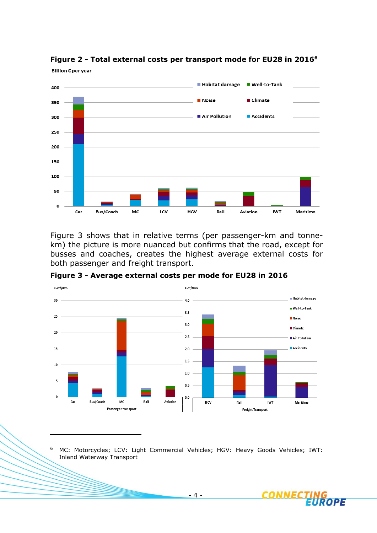

**Figure 2 - Total external costs per transport mode for EU28 in 2016<sup>6</sup>**

Figure 3 shows that in relative terms (per passenger-km and tonnekm) the picture is more nuanced but confirms that the road, except for busses and coaches, creates the highest average external costs for both passenger and freight transport.



**Figure 3 - Average external costs per mode for EU28 in 2016**

<sup>6</sup> MC: Motorcycles; LCV: Light Commercial Vehicles; HGV: Heavy Goods Vehicles; IWT: Inland Waterway Transport

 $\overline{a}$ 

- 4 -

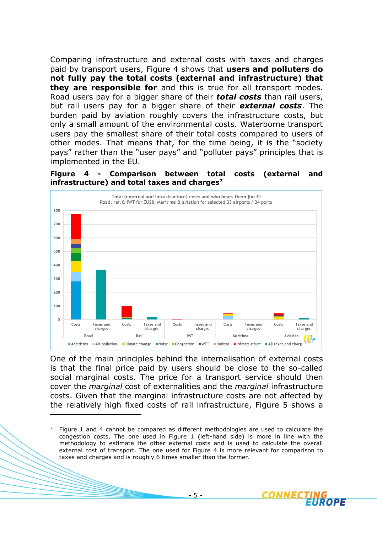Comparing infrastructure and external costs with taxes and charges paid by transport users, Figure 4 shows that **users and polluters do not fully pay the total costs (external and infrastructure) that they are responsible for** and this is true for all transport modes. Road users pay for a bigger share of their *total costs* than rail users, but rail users pay for a bigger share of their *external costs*. The burden paid by aviation roughly covers the infrastructure costs, but only a small amount of the environmental costs. Waterborne transport users pay the smallest share of their total costs compared to users of other modes. That means that, for the time being, it is the "society pays" rather than the "user pays" and "polluter pays" principles that is implemented in the EU.

**Figure 4 - Comparison between total costs (external and infrastructure) and total taxes and charges<sup>7</sup>**



One of the main principles behind the internalisation of external costs is that the final price paid by users should be close to the so-called social marginal costs. The price for a transport service should then cover the *marginal* cost of externalities and the *marginal* infrastructure costs. Given that the marginal infrastructure costs are not affected by the relatively high fixed costs of rail infrastructure, Figure 5 shows a

 $\overline{a}$ 



Figure 1 and 4 cannot be compared as different methodologies are used to calculate the congestion costs. The one used in Figure 1 (left-hand side) is more in line with the methodology to estimate the other external costs and is used to calculate the overall external cost of transport. The one used for Figure 4 is more relevant for comparison to taxes and charges and is roughly 6 times smaller than the former.